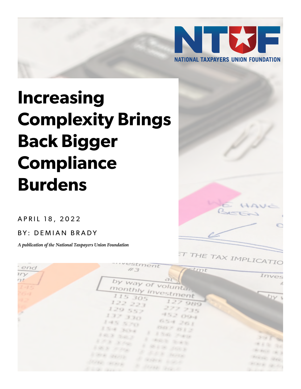

# **Increasing Complexity Brings Back Bigger Compliance Burdens**

APRIL 18, 2022

BY: DEMIAN BRADY

*A publication of the National Taxpayers Union Foundation*



THE TAX IMPL

| end             | ···vestment<br><i>etmt</i><br>#3                                  | C1CA/IO                                                                                                                  |
|-----------------|-------------------------------------------------------------------|--------------------------------------------------------------------------------------------------------------------------|
| 1ry<br>7t       | dV                                                                | Inves                                                                                                                    |
| $1 - 75$<br>264 | by way of voluntar<br>monthly investment                          | $\mathcal{L}$                                                                                                            |
|                 | 115 305<br>127 989<br>122221                                      |                                                                                                                          |
| ×               | 277 735<br>129.557<br>4.2004<br>137.330                           |                                                                                                                          |
|                 | <b>DEN JOI</b><br>145.500<br>$0.05 - 0.13$                        |                                                                                                                          |
|                 | E TOWER DISPER<br>8 8 to 10 Feb 2<br>$802.3 - 202.3$              | 201 00                                                                                                                   |
|                 | 1 422 242<br>$355 - 3542$<br>all a full<br>$65.8 + 44.8$          | <b>WAR ON</b>                                                                                                            |
|                 | C COR HAR<br><b>COOK GEAR</b><br>A GREEN LOCAL                    | $\label{eq:1} \begin{array}{ll} \mathcal{H}(\mathcal{M},\mathbb{R}) & \mathcal{H}(\mathcal{G}) \end{array}$<br>FIRST MAY |
|                 | STAR MACK<br>10 States and 1<br><b>Contract Contract Contract</b> | <b>Hark Grider</b>                                                                                                       |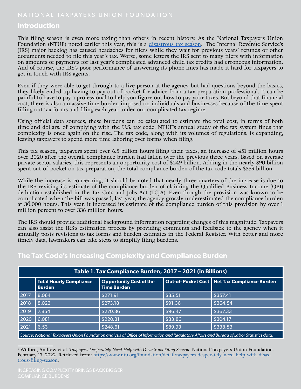# **Introduction**

This filing season is even more taxing than others in recent history. As the National Taxpayers Union Foundation (NTUF) noted earlier this year, this is a <u>[disastrous tax season](https://www.ntu.org/foundation/detail/taxpayers-desperately-need-help-with-disastrous-filing-season).</u>' The Internal Revenue Service's (IRS) major backlog has caused headaches for filers while they wait for previous years' refunds or other documents needed to file this year's tax. Worse, some letters the IRS sent to many filers with information on amounts of payments for last year's complicated advanced child tax credits had erroneous information. And of course, the IRS's poor performance of answering its phone lines has made it hard for taxpayers to get in touch with IRS agents.

Even if they were able to get through to a live person at the agency but had questions beyond the basics, they likely ended up having to pay out of pocket for advice from a tax preparation professional. It can be painful to have to pay a professional to help you figure out how to pay your taxes. But beyond that financial cost, there is also a massive time burden imposed on individuals and businesses because of the time spent filling out tax forms and filing each year under our complicated tax regime.

Using official data sources, these burdens can be calculated to estimate the total cost, in terms of both time and dollars, of complying with the U.S. tax code. NTUF's annual study of the tax system finds that complexity is once again on the rise. The tax code, along with its volumes of regulations, is expanding, leaving taxpayers to spend more time laboring over forms when filing.

This tax season, taxpayers spent over 6.5 billion hours filing their taxes, an increase of 451 million hours over 2020 after the overall compliance burden had fallen over the previous three years. Based on average private sector salaries, this represents an opportunity cost of \$249 billion. Adding in the nearly \$90 billion spent out-of-pocket on tax preparation, the total compliance burden of the tax code totals \$339 billion.

While the increase is concerning, it should be noted that nearly three-quarters of the increase is due to the IRS revising its estimate of the compliance burden of claiming the Qualified Business Income (QBI) deduction established in the Tax Cuts and Jobs Act (TCJA). Even though the provision was known to be complicated when the bill was passed, last year, the agency grossly underestimated the compliance burden at 30,000 hours. This year, it increased its estimate of the compliance burden of this provision by over 1 million percent to over 336 million hours.

The IRS should provide additional background information regarding changes of this magnitude. Taxpayers can also assist the IRS's estimation process by providing comments and feedback to the agency when it annually posts revisions to tax forms and burden estimates in the Federal Register. With better and more timely data, lawmakers can take steps to simplify filing burdens.

| Table 1. Tax Compliance Burden, 2017 - 2021 (in Billions) |                                                                                                                                                         |          |         |                                                                                                                                           |  |  |  |
|-----------------------------------------------------------|---------------------------------------------------------------------------------------------------------------------------------------------------------|----------|---------|-------------------------------------------------------------------------------------------------------------------------------------------|--|--|--|
|                                                           | Out-of-Pocket Cost Net Tax Compliance Burden<br><b>Total Hourly Compliance</b><br><b>Opportunity Cost of the</b><br><b>Time Burden</b><br><b>Burden</b> |          |         |                                                                                                                                           |  |  |  |
| 2017                                                      | 8.064                                                                                                                                                   | \$271.91 | \$85.51 | \$357.41                                                                                                                                  |  |  |  |
| 2018                                                      | 8.023                                                                                                                                                   | \$273.18 | \$91.36 | \$364.54                                                                                                                                  |  |  |  |
| 2019                                                      | 7.854                                                                                                                                                   | \$270.86 | \$96.47 | \$367.33                                                                                                                                  |  |  |  |
| 2020                                                      | 6.081                                                                                                                                                   | \$220.31 | \$83.86 | \$304.17                                                                                                                                  |  |  |  |
| 2021                                                      | 6.53                                                                                                                                                    | \$248.61 | \$89.93 | \$338.53                                                                                                                                  |  |  |  |
|                                                           |                                                                                                                                                         |          |         | Source: National Taxpayers Union Foundation analysis of Office of Information and Regulatory Affairs and Bureau of Labor Statistics data. |  |  |  |

# **The Tax Code's Increasing Complexity and Compliance Burden**

1 Wilford, Andrew et al. *Taxpayers Desperately Need Help with Disastrous Filing Season*. National Taxpayers Union Foundation. February 17, 2022. Retrieved from: [https://www.ntu.org/foundation/detail/taxpayers-desperately-need-help-with-disas](https://www.ntu.org/foundation/detail/taxpayers-desperately-need-help-with-disastrous-filing-season)[trous-filing-season](https://www.ntu.org/foundation/detail/taxpayers-desperately-need-help-with-disastrous-filing-season).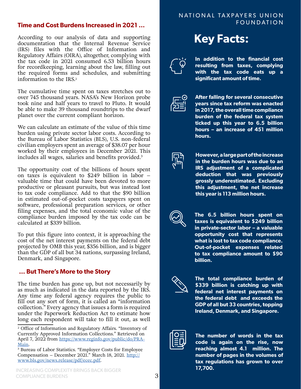### **Time and Cost Burdens Increased in 2021 …**

According to our analysis of data and supporting documentation that the Internal Revenue Service (IRS) files with the Office of Information and Regulatory Affairs (OIRA), altogether, complying with the tax code in 2021 consumed 6.53 billion hours for recordkeeping, learning about the law, filling out the required forms and schedules, and submitting information to the IRS.<sup>2</sup>

The cumulative time spent on taxes stretches out to over 745 thousand years. NASA's New Horizon probe took nine and half years to travel to Pluto. It would be able to make 39 thousand roundtrips to the dwarf planet over the current compliant horizon.

We can calculate an estimate of the value of this time burden using private sector labor costs. According to the Bureau of Labor Statistics (BLS), U.S. non-federal civilian employers spent an average of \$38.07 per hour worked by their employees in December 2021. This includes all wages, salaries and benefits provided.3

The opportunity cost of the billions of hours spent on taxes is equivalent to \$249 billion in labor – valuable time that could have been devoted to more productive or pleasant pursuits, but was instead lost to tax code compliance. Add to that the \$90 billion in estimated out-of-pocket costs taxpayers spent on software, professional preparation services, or other filing expenses, and the total economic value of the compliance burden imposed by the tax code can be calculated at \$339 billion.

To put this figure into context, it is approaching the cost of the net interest payments on the federal debt projected by OMB this year, \$356 billion, and is bigger than the GDP of all but 34 nations, surpassing Ireland, Denmark, and Singapore.

### **… But There's More to the Story**

The time burden has gone up, but not necessarily by as much as indicated in the data reported by the IRS. Any time any federal agency requires the public to fill out any sort of form, it is called an "information collection." Every agency that issues a form is required under the Paperwork Reduction Act to estimate how long each respondent will take to fill it out, as well

#### **17,700.** INCREASING COMPLEXITY BRINGS BACK BIGGER COMPLIANCE BURDENS

# NATIONAL TAXPAYERS UNION FOUNDATION

# **Key Facts:**



**In addition to the financial cost resulting from taxes, complying with the tax code eats up a significant amount of time.**



**After falling for several consecutive years since tax reform was enacted in 2017, the overall time compliance burden of the federal tax system ticked up this year to 6.5 billion hours – an increase of 451 million hours.**



**However, a large part of the increase in the burden hours was due to an IRS adjustment of a complicated deduction that was previously grossly underestimated. Excluding this adjustment, the net increase this year is 113 million hours.**



**The 6.5 billion hours spent on taxes is equivalent to \$249 billion in private-sector labor – a valuable opportunity cost that represents what is lost to tax code compliance. Out-of-pocket expenses related to tax compliance amount to \$90 billion.**



**The total compliance burden of \$339 billion is catching up with federal net interest payments on the federal debt and exceeds the GDP of all but 33 countries, topping Ireland, Denmark, and Singapore.**



**The number of words in the tax code is again on the rise, now reaching almost 4.1 million. The number of pages in the volumes of tax regulations has grown to over** 

<sup>2</sup> Office of Information and Regulatory Affairs. "Inventory of Currently Approved Information Collections." Retrieved on April 7, 2022 from [https://www.reginfo.gov/public/do/PRA-](https://www.reginfo.gov/public/do/PRAMain)[Main](https://www.reginfo.gov/public/do/PRAMain).

<sup>3</sup> Bureau of Labor Statistics. "Employer Costs for Employee Compensation – December 2021." March 18, 2021. [http://](http://www.bls.gov/news.release/pdf/ecec.pdf) [www.bls.gov/news.release/pdf/ecec.pdf](http://www.bls.gov/news.release/pdf/ecec.pdf).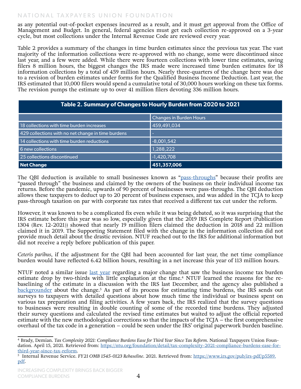as any potential out-of-pocket expenses incurred as a result, and it must get approval from the Office of Management and Budget. In general, federal agencies must get each collection re-approved on a 3-year cycle, but most collections under the Internal Revenue Code are reviewed every year.

Table 2 provides a summary of the changes in time burden estimates since the previous tax year. The vast majority of the information collections were re-approved with no change, some were discontinued since last year, and a few were added. While there were fourteen collections with lower time estimates, saving filers 8 million hours, the biggest changes the IRS made were increased time burden estimates for 18 information collections by a total of 459 million hours. Nearly three-quarters of the change here was due to a revision of burden estimates under forms for the Qualified Business Income Deduction. Last year, the IRS estimated that 10,000 filers would spend a cumulative total of 30,000 hours working on these tax forms. The revision pumps the estimate up to over 41 million filers devoting 336 million hours.

| Table 2. Summary of Changes to Hourly Burden from 2020 to 2021 |              |  |  |  |  |  |
|----------------------------------------------------------------|--------------|--|--|--|--|--|
| <b>Changes in Burden Hours</b>                                 |              |  |  |  |  |  |
| 18 collections with time burden increases                      | 459,491,034  |  |  |  |  |  |
| 429 collections with no net change in time burdens             | $\sim$       |  |  |  |  |  |
| 14 collections with time burden reductions                     | $-8,001,542$ |  |  |  |  |  |
| 6 new collections                                              | 1,288,222    |  |  |  |  |  |
| $-1,420,708$<br>25 collections discontinued                    |              |  |  |  |  |  |
| 451,357,006<br>Net Change                                      |              |  |  |  |  |  |

The QBI deduction is available to small businesses known as "[pass-throughs"](https://www.ntu.org/foundation/detail/issue-brief-whats-the-deal-with-pass-through-taxation) because their profits are "passed through" the business and claimed by the owners of the business on their individual income tax returns. Before the pandemic, upwards of 90 percent of businesses were pass-throughs. The QBI deduction allows these taxpayers to deduct up to 20 percent of business expenses, and was added in the TCJA to keep pass-through taxation on par with corporate tax rates that received a different tax cut under the reform.

However, it was known to be a complicated fix even while it was being debated, so it was surprising that the IRS estimate before this year was so low, especially given that the 2019 IRS Complete Report (Publication 1304 (Rev. 12-2021)) showed that nearly 19 million filers claimed the deduction in 2018 and 22 million claimed it in 2019. The Supporting Statement filed with the change in the information collection did not provide much detail about the drastic revision. NTUF reached out to the IRS for additional information but did not receive a reply before publication of this paper.

*Ceteris paribus*, if the adjustment for the QBI had been accounted for last year, the net time compliance burden would have reflected 6.42 billion hours, resulting in a net increase this year of 113 million hours.

NTUF noted a similar issue [last year](https://www.ntu.org/foundation/detail/tax-complexity-2021-compliance-burdens-ease-for-third-year-since-tax-reform) regarding a major change that saw the business income tax burden estimate drop by two-thirds with little explanation at the time.<sup>4</sup> NTUF learned the reasons for the rebaselining of the estimate in a discussion with the IRS last December, and the agency also published a [backgrounder](https://www.irs.gov/pub/irs-pdf/p5589.pdf) about the change.<sup>5</sup> As part of its process for estimating time burdens, the IRS sends out surveys to taxpayers with detailed questions about how much time the individual or business spent on various tax preparation and filing activities. A few years back, the IRS realized that the survey questions to businesses were resulting in double counting of some of the recorded time burdens. They adjusted their survey questions and calculated the revised time estimates but waited to adjust the official reported estimate with the new methodological corrections so that the impacts of the TCJA – the first comprehensive overhaul of the tax code in a generation – could be seen under the IRS' original paperwork burden baseline.

<sup>4</sup> Brady, Demian. *Tax Complexity 2021: Compliance Burdens Ease for Third Year Since Tax Reform*. National Taxpayers Union Foundation. April 15, 2021. Retrieved from: [https://ntu.org/foundation/detail/tax-complexity-2021-compliance-burdens-ease-for](https://ntu.org/foundation/detail/tax-complexity-2021-compliance-burdens-ease-for-third-year-since-tax-reform)[third-year-since-tax-reform](https://ntu.org/foundation/detail/tax-complexity-2021-compliance-burdens-ease-for-third-year-since-tax-reform).

<sup>5</sup> Internal Revenue Service. *FY21 OMB 1545-0123 Rebaseline*. 2021. Retrieved from: [https://www.irs.gov/pub/irs-pdf/p5589.](https://www.irs.gov/pub/irs-pdf/p5589.pdf) [pdf](https://www.irs.gov/pub/irs-pdf/p5589.pdf).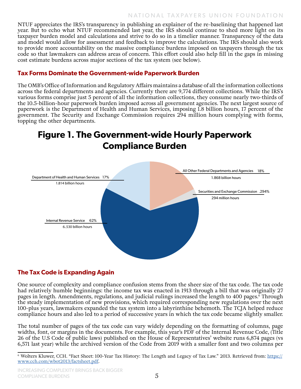NTUF appreciates the IRS's transparency in publishing an explainer of the re-baselining that happened last year. But to echo what NTUF recommended last year, the IRS should continue to shed more light on its taxpayer burden model and calculations and strive to do so in a timelier manner. Transparency of the data and model would allow for assessment and feedback to improve the calculations. The IRS should also work to provide more accountability on the massive compliance burdens imposed on taxpayers through the tax code so that lawmakers can address areas of concern. This effort could also help fill in the gaps in missing cost estimate burdens across major sections of the tax system (see below).

# **Tax Forms Dominate the Government-wide Paperwork Burden**

The OMB's Office of Information and Regulatory Affairs maintains a database of all the information collections across the federal departments and agencies. Currently there are 9,774 different collections. While the IRS's various forms comprise just 5 percent of all the information collections, they consume nearly two-thirds of the 10.5-billion-hour paperwork burden imposed across all government agencies. The next largest source of paperwork is the Department of Health and Human Services, imposing 1.8 billion hours, 17 percent of the government. The Security and Exchange Commission requires 294 million hours complying with forms, topping the other departments.

# **Figure 1. The Government-wide Hourly Paperwork Compliance Burden**



# **The Tax Code is Expanding Again**

One source of complexity and compliance confusion stems from the sheer size of the tax code. The tax code had relatively humble beginnings: the income tax was enacted in 1913 through a bill that was originally 27 pages in length. Amendments, regulations, and judicial rulings increased the length to 400 pages.<sup>6</sup> Through the steady implementation of new provisions, which required corresponding new regulations over the next 100-plus years, lawmakers expanded the tax system into a labyrinthine behemoth. The TCJA helped reduce compliance hours and also led to a period of successive years in which the tax code became slightly smaller.

The total number of pages of the tax code can vary widely depending on the formatting of columns, page widths, font, or margins in the documents. For example, this year's PDF of the Internal Revenue Code, (Title 26 of the U.S Code of public laws) published on the House of Representatives' website runs 6,874 pages (vs 6,571 last year) while the archived version of the Code from 2019 with a smaller font and two columns per

<sup>&</sup>lt;sup>6</sup> Wolters Kluwer, CCH. "Fact Sheet: 100-Year Tax History: The Length and Legacy of Tax Law." 2013. Retrieved from: <u>https://</u> [www.cch.com/wbot2013/factsheet.pdf](https://www.cch.com/wbot2013/factsheet.pdf).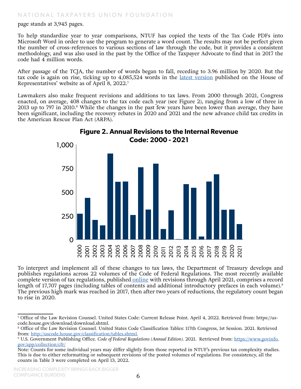#### page stands at 3,945 pages.

To help standardize year to year comparisons, NTUF has copied the texts of the Tax Code PDFs into Microsoft Word in order to use the program to generate a word count. The results may not be perfect given the number of cross-references to various sections of law through the code, but it provides a consistent methodology, and was also used in the past by the Office of the Taxpayer Advocate to find that in 2017 the code had 4 million words.

After passage of the TCJA, the number of words began to fall, receding to 3.96 million by 2020. But the tax code is again on rise, ticking up to 4,085,524 words in the <u>[latest version](https://uscode.house.gov/download/download.shtml)</u> published on the House of Representatives' website as of April 8, 2022.7

Lawmakers also make frequent revisions and additions to tax laws. From 2000 through 2021, Congress enacted, on average, 408 changes to the tax code each year (see Figure 2), ranging from a low of three in 2013 up to 797 in 2010.<sup>8</sup> While the changes in the past few years have been lower than average, they have been significant, including the recovery rebates in 2020 and 2021 and the new advance child tax credits in the American Rescue Plan Act (ARPA).



To interpret and implement all of these changes to tax laws, the Department of Treasury develops and publishes regulations across 22 volumes of the Code of Federal Regulations. The most recently available complete version of tax regulations, published [online](https://www.govinfo.gov/app/collection/cfr/) with revisions through April 2021, comprises a record length of 17,707 pages (including tables of contents and additional introductory prefaces in each volume).<sup>9</sup> The previous high mark was reached in 2017, then after two years of reductions, the regulatory count began to rise in 2020.

<sup>7</sup> Office of the Law Revision Counsel. United States Code: Current Release Point. April 4, 2022. Retrieved from: https://uscode.house.gov/download/download.shtml.

<sup>8</sup> Office of the Law Revision Counsel. United States Code Classification Tables: 117th Congress, 1st Session. 2021. Retrieved from: [http://uscode.house.gov/classification/tables.shtml.](http://uscode.house.gov/classification/tables.shtml)

<sup>9</sup> U.S. Government Publishing Office. *Code of Federal Regulations (Annual Edition)*. 2021. Retrieved from: [https://www.govinfo.](https://www.govinfo.gov/app/collection/cfr/) [gov/app/collection/cfr/](https://www.govinfo.gov/app/collection/cfr/)

Note: Counts for some individual years may differ slightly from those reported in NTUF's previous tax complexity studies. This is due to either reformatting or subsequent revisions of the posted volumes of regulations. For consistency, all the counts in Table 3 were completed on April 13, 2022.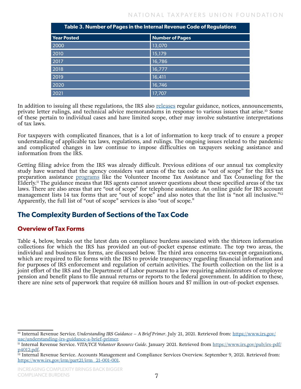| Table 3. Number of Pages in the Internal Revenue Code of Regulations |                        |  |  |  |
|----------------------------------------------------------------------|------------------------|--|--|--|
| <b>Year Posted</b>                                                   | <b>Number of Pages</b> |  |  |  |
| 2000                                                                 | 13,070                 |  |  |  |
| 2010                                                                 | 15,179                 |  |  |  |
| 2017                                                                 | 16,786                 |  |  |  |
| 2018                                                                 | 16,777                 |  |  |  |
| 2019                                                                 | 16,411                 |  |  |  |
| 2020                                                                 | 16,746                 |  |  |  |
| 2021                                                                 | 17,707                 |  |  |  |

In addition to issuing all these regulations, the IRS als[o releases](https://www.irs.gov/newsroom/understanding-irs-guidance-a-brief-primer) regular guidance, notices, announcements, private letter rulings, and technical advice memorandums in response to various issues that arise.10 Some of these pertain to individual cases and have limited scope, other may involve substantive interpretations of tax laws.

For taxpayers with complicated finances, that is a lot of information to keep track of to ensure a proper understanding of applicable tax laws, regulations, and rulings. The ongoing issues related to the pandemic and complicated changes in law continue to impose difficulties on taxpayers seeking assistance and information from the IRS.

Getting filing advice from the IRS was already difficult. Previous editions of our annual tax complexity study have warned that the agency considers vast areas of the tax code as "out of scope" for the IRS tax preparation assistanc[e programs](https://www.irs.gov/pub/irs-pdf/p4012.pdf) like the Volunteer Income Tax Assistance and Tax Counseling for the Elderly.<sup>11</sup> The guidance means that IRS agents cannot answer questions about these specified areas of the tax laws. There are also areas that are "out of scope" for telephone assistance. An online guide for IRS account management lists 14 tax forms that are "out of scope" and also notes that the list is "not all inclusive."<sup>12</sup> Apparently, the full list of "out of scope" services is also "out of scope."

# **The Complexity Burden of Sections of the Tax Code**

# **Overview of Tax Forms**

Table 4, below, breaks out the latest data on compliance burdens associated with the thirteen information collections for which the IRS has provided an out-of-pocket expense estimate. The top two areas, the individual and business tax forms, are discussed below. The third area concerns tax-exempt organizations, which are required to file forms with the IRS to provide transparency regarding financial information and for purposes of IRS enforcement and regulation of certain activities. The fourth collection on the list is a joint effort of the IRS and the Department of Labor pursuant to a law requiring administrators of employee pension and benefit plans to file annual returns or reports to the federal government. In addition to these, there are nine sets of paperwork that require 68 million hours and \$7 million in out-of-pocket expenses.

<sup>&</sup>lt;sup>10</sup> Internal Revenue Service. Understanding IRS Guidance – A Brief Primer. July 21, 2021. Retrieved from: [https://www.irs.gov/](https://www.irs.gov/uac/understanding-irs-guidance-a-brief-primer) [uac/understanding-irs-guidance-a-brief-primer.](https://www.irs.gov/uac/understanding-irs-guidance-a-brief-primer)

<sup>&</sup>lt;sup>11</sup> Internal Revenue Service. *VITA/TCE Volunteer Resource Guide*. January 2021. Retrieved from [https://www.irs.gov/pub/irs-pdf/](https://www.irs.gov/pub/irs-pdf/p4012.pdf) [p4012.pdf.](https://www.irs.gov/pub/irs-pdf/p4012.pdf)

<sup>12</sup> Internal Revenue Service. Accounts Management and Compliance Services Overview. September 9, 2021. Retrieved from: [https://www.irs.gov/irm/part21/irm\\_21-001-001.](https://www.irs.gov/irm/part21/irm_21-001-001)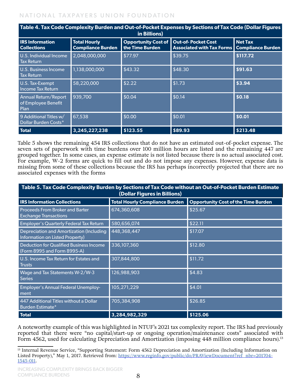| Table 4. Tax Code Complexity Burden and Out-of-Pocket Expenses by Sections of Tax Code (Dollar Figures)<br>in Billions) |                                                 |                                                                    |                                  |                                            |  |  |
|-------------------------------------------------------------------------------------------------------------------------|-------------------------------------------------|--------------------------------------------------------------------|----------------------------------|--------------------------------------------|--|--|
| <b>IRS Information</b><br><b>Collections</b>                                                                            | <b>Total Hourly</b><br><b>Compliance Burden</b> | <b>Opportunity Cost of   Out-of-Pocket Cost</b><br>the Time Burden | <b>Associated with Tax Forms</b> | <b>Net Tax</b><br><b>Compliance Burden</b> |  |  |
| U.S. Individual Income<br><b>Tax Return</b>                                                                             | 2,048,000,000                                   | \$77.97                                                            | \$39.75                          | \$117.72                                   |  |  |
| <b>U.S. Business Income</b><br><b>Tax Return</b>                                                                        | 1,138,000,000                                   | \$43.32                                                            | \$48.30                          | \$91.63                                    |  |  |
| U.S. Tax-Exempt<br>Income Tax Return                                                                                    | 58,220,000                                      | \$2.22                                                             | \$1.73                           | \$3.94                                     |  |  |
| Annual Return/Report<br>of Employee Benefit<br>Plan                                                                     | 939,700                                         | \$0.04                                                             | \$0.14                           | \$0.18                                     |  |  |
| 9 Additional Titles w/<br>Dollar Burden Costs*                                                                          | 67,538                                          | \$0.00                                                             | \$0.01                           | \$0.01                                     |  |  |
| <b>Total</b>                                                                                                            | 3,245,227,238                                   | \$123.55                                                           | \$89.93                          | \$213.48                                   |  |  |

Table 5 shows the remaining 454 IRS collections that do not have an estimated out-of-pocket expense. The seven sets of paperwork with time burdens over 100 million hours are listed and the remaining 447 are grouped together. In some cases, an expense estimate is not listed because there is no actual associated cost. For example, W-2 forms are quick to fill out and do not impose any expenses. However, expense data is missing from some of these collections because the IRS has perhaps incorrectly projected that there are no associated expenses with the forms

| Table 5. Tax Code Complexity Burden by Sections of Tax Code without an Out-of-Pocket Burden Estimate<br>(Dollar Figures in Billions) |               |          |  |  |  |  |
|--------------------------------------------------------------------------------------------------------------------------------------|---------------|----------|--|--|--|--|
| <b>Total Hourly Compliance Burden</b><br>Opportunity Cost of the Time Burden<br><b>IRS Information Collections</b>                   |               |          |  |  |  |  |
| <b>Proceeds From Broker and Barter</b><br><b>Exchange Transactions</b>                                                               | 674,360,608   | \$25.67  |  |  |  |  |
| <b>Employer's Quarterly Federal Tax Return</b>                                                                                       | 580,656,074   | \$22.11  |  |  |  |  |
| <b>Depreciation and Amortization (Including</b><br>Information on Listed Property)                                                   | 448,368,447   | \$17.07  |  |  |  |  |
| <b>Deduction for Qualified Business Income</b><br>(Form 8995 and Form 8995-A)                                                        | 336,107,360   | \$12.80  |  |  |  |  |
| U.S. Income Tax Return for Estates and<br><b>Trusts</b>                                                                              | 307,844,800   | \$11.72  |  |  |  |  |
| Wage and Tax Statements W-2/W-3<br><b>Series</b>                                                                                     | 126,988,903   | \$4.83   |  |  |  |  |
| Employer's Annual Federal Unemploy-<br>ment                                                                                          | 105,271,229   | \$4.01   |  |  |  |  |
| 447 Additional Titles without a Dollar<br>Burden Estimate*                                                                           | 705,384,908   | \$26.85  |  |  |  |  |
| <b>Total</b>                                                                                                                         | 3,284,982,329 | \$125.06 |  |  |  |  |

A noteworthy example of this was highlighted in NTUF's 2021 tax complexity report. The IRS had previously reported that there were "no capital/start-up or ongoing operation/maintenance costs" associated with Form 4562, used for calculating Depreciation and Amortization (imposing 448 million compliance hours).<sup>13</sup>

<sup>&</sup>lt;sup>13</sup> Internal Revenue Service, "Supporting Statement: Form 4562 Depreciation and Amortization (Including Information on Listed Property)," May 1, 2017. Retrieved from: [https://www.reginfo.gov/public/do/PRAViewDocument?ref\\_nbr=201704-](https://www.reginfo.gov/public/do/PRAViewDocument?ref_nbr=201704-1545-011) [1545-011.](https://www.reginfo.gov/public/do/PRAViewDocument?ref_nbr=201704-1545-011)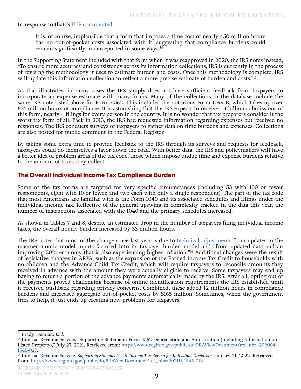#### In response to that NTUF [commented:](https://ntu.org/foundation/detail/tax-complexity-2021-compliance-burdens-ease-for-third-year-since-tax-reform)

It is, of course, implausible that a form that imposes a time cost of nearly 450 million hours has no out-of-pocket costs associated with it, suggesting that compliance burdens could remain significantly underreported in some ways.<sup>14</sup>

In the Supporting Statement included with that form when it was reapproved in 2020, the IRS notes instead, "To ensure more accuracy and consistency across its information collections, IRS is currently in the process of revising the methodology it uses to estimate burden and costs. Once this methodology is complete, IRS will update this information collection to reflect a more precise estimate of burden and costs."<sup>15</sup>

As that illustrates, in many cases the IRS simply does not have sufficient feedback from taxpayers to incorporate an expense estimate with many forms. Many of the collections in the database include the same IRS note listed above for Form 4562. This includes the notorious Form 1099-B, which takes up over 674 million hours of compliance. It is astonishing that the IRS expects to receive 1.4 billion submissions of this form, nearly 4 filings for every person in the country. It is no wonder that tax preparers consider it the worst tax form of all. Back in 2013, the IRS had requested information regarding expenses but received no responses. The IRS conducts surveys of taxpayers to gather data on time burdens and expenses. Collections are also posted for public comment in the Federal Register.

By taking some extra time to provide feedback to the IRS through its surveys and requests for feedback, taxpayers could do themselves a favor down the road. With better data, the IRS and policymakers will have a better idea of problem areas of the tax code, those which impose undue time and expense burdens relative to the amount of taxes they collect.

## **The Overall Individual Income Tax Compliance Burden**

Some of the tax forms are targeted for very specific circumstances (including 53 with 100 or fewer respondents, eight with 10 or fewer, and two each with only a single respondent). The part of the tax code that most Americans are familiar with is the Form 1040 and its associated schedules and filings under the individual income tax. Reflective of the general upswing in complexity tracked in the data this year, the number of instructions associated with the 1040 and the primary schedules increased.

As shown in Tables 7 and 8, despite an estimated drop in the number of taxpayers filing individual income taxes, the overall hourly burden increased by 53 million hours.

The IRS notes that most of the change since last year is due t[o technical adjustments](https://www.reginfo.gov/public/do/PRAViewDocument?ref_nbr=202111-1545-013) from updates to the macroeconomic model inputs factored into its taxpayer burden model and "from updated data and an improving 2021 economy that is also experiencing higher inflation."16 Additional changes were the result of legislative changes in ARPA, such as the expansion of the Earned Income Tax Credit to households with no children and the Advance Child Tax Credit, which will require taxpayers to reconcile amounts they received in advance with the amount they were actually eligible to receive. Some taxpayers may end up having to return a portion of the advance payments automatically made by the IRS. After all, opting out of the payments proved challenging because of online identification requirements the IRS established until it received pushback regarding privacy concerns. Combined, these added 12 million hours in compliance burdens and increased aggregate out-of-pocket costs by \$165 million. Sometimes, when the government tries to help, it just ends up creating new problems for taxpayers.

<sup>14</sup> Brady, Demian. *Ibid.*

<sup>&</sup>lt;sup>15</sup> Internal Revenue Service, "Supporting Statement: Form 4562 Depreciation and Amortization (Including Information on Listed Property)," July 27, 2021. Retrieved from: [https://www.reginfo.gov/public/do/PRAViewDocument?ref\\_nbr=202004-](https://www.reginfo.gov/public/do/PRAViewDocument?ref_nbr=202004-1545-027)

[<sup>1545-027</sup>](https://www.reginfo.gov/public/do/PRAViewDocument?ref_nbr=202004-1545-027). 16 Internal Revenue Service. *Supporting Statement: U.S. Income Tax Return for Individual Taxpayers*. January 21, 2022. Retrieved from: [https://www.reginfo.gov/public/do/PRAViewDocument?ref\\_nbr=202111-1545-013.]( https://www.reginfo.gov/public/do/PRAViewDocument?ref_nbr=202111-1545-013)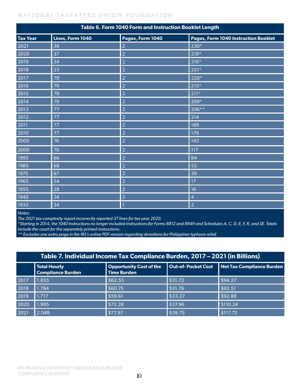| Table 6. Form 1040 Form and Instruction Booklet Length |                  |                  |                                      |  |  |
|--------------------------------------------------------|------------------|------------------|--------------------------------------|--|--|
| <b>Tax Year</b>                                        | Lines, Form 1040 | Pages, Form 1040 | Pages, Form 1040 Instruction Booklet |  |  |
| 2021                                                   | 38               | $\overline{2}$   | $230*$                               |  |  |
| 2020                                                   | 37               | $\overline{2}$   | $218*$                               |  |  |
| 2019                                                   | 24               | $\overline{2}$   | $216*$                               |  |  |
| 2018                                                   | 23               | $\overline{2}$   | $221*$                               |  |  |
| 2017                                                   | 79               | $\overline{2}$   | 220*                                 |  |  |
| 2016                                                   | 79               | $\overline{2}$   | $215*$                               |  |  |
| 2015                                                   | 79               | $\overline{2}$   | $211*$                               |  |  |
| 2014                                                   | 79               | $\overline{2}$   | $\overline{209}$ *                   |  |  |
| 2013                                                   | 77               | $\overline{2}$   | 206**                                |  |  |
| 2012                                                   | 77               | $\overline{2}$   | 214                                  |  |  |
| 2011                                                   | 77               | $\overline{2}$   | 189                                  |  |  |
| 2010                                                   | 77               | $\overline{2}$   | 179                                  |  |  |
| 2005                                                   | 76               | $\overline{2}$   | 142                                  |  |  |
| 2000                                                   | 70               | $\overline{2}$   | 117                                  |  |  |
| 1995                                                   | 66               | $\overline{2}$   | 84                                   |  |  |
| 1985                                                   | 68               | 2                | 52                                   |  |  |
| 1975                                                   | 67               | $\overline{2}$   | 39                                   |  |  |
| 1965                                                   | 54               | $\overline{2}$   | 17                                   |  |  |
| 1955                                                   | 28               | $\overline{2}$   | 16                                   |  |  |
| 1945                                                   | 24               | $\overline{2}$   | $\overline{4}$                       |  |  |
| 1935                                                   | 34               |                  | $\overline{2}$                       |  |  |

*Notes:* 

*The 2021 tax complexity report incorrectly reported 37 lines for tax year 2020.*

*\*Starting in 2014, the 1040 Instructions no longer included instructions for Forms 8812 and 8949 and Schedules A, C, D, E, F, R, and SE. Totals include the count for the separately printed instructions.* 

*\*\* Excludes one extra page in the IRS's online PDF version regarding donations for Philippines typhoon relief.*

# **Table 7. Individual Income Tax Compliance Burden, 2017 – 2021 (in Billions)**

|      | <b>Total Hourly</b><br><b>Compliance Burden</b> | Opportunity Cost of the<br>Time Burden | <b>Out-of-Pocket Cost</b> | Net Tax Compliance Burden |
|------|-------------------------------------------------|----------------------------------------|---------------------------|---------------------------|
| 2017 | 1.855                                           | \$62.55                                | \$31.72                   | \$94.27                   |
| 2018 | .784                                            | \$60.75                                | \$31.76                   | \$92.51                   |
| 2019 | 1.717                                           | \$59.61                                | \$33.27                   | \$92.88                   |
| 2020 | 1.995                                           | \$72.28                                | \$37.96                   | \$110.24                  |
| 2021 | 2.048                                           | \$77.97                                | \$39.75                   | \$117.72                  |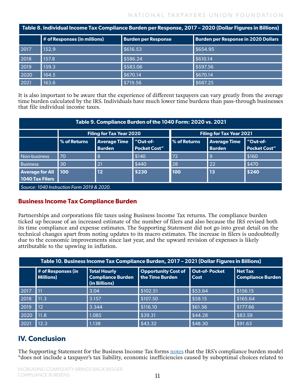| Table 8. Individual Income Tax Compliance Burden per Response, 2017 – 2020 <u>(Dollar Figures in Billions)</u> |                              |                            |                                            |  |  |
|----------------------------------------------------------------------------------------------------------------|------------------------------|----------------------------|--------------------------------------------|--|--|
|                                                                                                                | # of Responses (in millions) | <b>Burden per Response</b> | <b>Burden per Response in 2020 Dollars</b> |  |  |
| 2017                                                                                                           | 152.9                        | \$616.53                   | \$654.95                                   |  |  |
| 2018                                                                                                           | 157.8                        | \$586.24                   | \$610.14                                   |  |  |
| 2019                                                                                                           | 159.3                        | \$583.06                   | \$597.56                                   |  |  |
| 2020                                                                                                           | 164.5                        | \$670.14                   | \$670.14                                   |  |  |
| 2021                                                                                                           | 163.6                        | \$719.56                   | \$687.25                                   |  |  |

It is also important to be aware that the experience of different taxpayers can vary greatly from the average time burden calculated by the IRS. Individuals have much lower time burdens than pass-through businesses that file individual income taxes.

| Table 9. Compliance Burden of the 1040 Form: 2020 vs. 2021 |                                                                    |                                      |                                 |              |                                      |                                 |
|------------------------------------------------------------|--------------------------------------------------------------------|--------------------------------------|---------------------------------|--------------|--------------------------------------|---------------------------------|
|                                                            | <b>Filing for Tax Year 2021</b><br><b>Filing for Tax Year 2020</b> |                                      |                                 |              |                                      |                                 |
|                                                            | <b>Sof Returns</b>                                                 | <b>Average Time</b><br><b>Burden</b> | "Out-of-<br><b>Pocket Cost"</b> | % of Returns | <b>Average Time</b><br><b>Burden</b> | "Out-of-<br><b>Pocket Cost"</b> |
| Non-business                                               | 70                                                                 | 8                                    | \$140                           | 72           | <u>g</u>                             | \$160                           |
| <b>Business</b>                                            | 30                                                                 | 21                                   | \$440                           | 28           | 22                                   | \$470                           |
| <b>Average for All</b><br>1040 Tax Filers                  | <b>100</b>                                                         | 12                                   | \$230                           | 100          | 13                                   | \$240                           |
| Source: 1040 Instruction Form 2019 & 2020.                 |                                                                    |                                      |                                 |              |                                      |                                 |

# **Business Income Tax Compliance Burden**

Partnerships and corporations file taxes using Business Income Tax returns. The compliance burden ticked up because of an increased estimate of the number of filers and also because the IRS revised both its time compliance and expense estimates. The Supporting Statement did not go into great detail on the technical changes apart from noting updates to its macro estimates. The increase in filers is undoubtedly due to the economic improvements since last year, and the upward revision of expenses is likely attributable to the upswing in inflation.

| Table 10. Business Income Tax Compliance Burden, 2017 - 2021 (Dollar Figures in Billions) |                                   |                                                                  |                                               |                                     |                                            |  |
|-------------------------------------------------------------------------------------------|-----------------------------------|------------------------------------------------------------------|-----------------------------------------------|-------------------------------------|--------------------------------------------|--|
|                                                                                           | $#$ of Responses (in<br>Millions) | <b>Total Hourly</b><br><b>Compliance Burden</b><br>(in Billions) | <b>Opportunity Cost of</b><br>the Time Burden | <b>Out-of-Pocket</b><br><b>Cost</b> | <b>Net Tax</b><br><b>Compliance Burden</b> |  |
| 2017                                                                                      | וו ו                              | 3.04                                                             | \$102.51                                      | \$53.64                             | \$156.15                                   |  |
| 2018                                                                                      | 11.3                              | 3.157                                                            | \$107.50                                      | \$58.15                             | \$165.64                                   |  |
| 2019                                                                                      | l 12                              | 3.344                                                            | \$116.10                                      | \$61.56                             | \$177.66                                   |  |
| 2020                                                                                      | l 11.8                            | 1.085                                                            | \$39.31                                       | \$44.28                             | \$83.59                                    |  |
| 2021                                                                                      | 12.3                              | 1.138                                                            | \$43.32                                       | \$48.30                             | \$91.63                                    |  |

# **IV. Conclusion**

The Supporting Statement for the Business Income Tax forms [notes](https://www.reginfo.gov/public/do/PRAViewDocument?ref_nbr=202108-1545-016) that the IRS's compliance burden model "does not include a taxpayer's tax liability, economic inefficiencies caused by suboptimal choices related to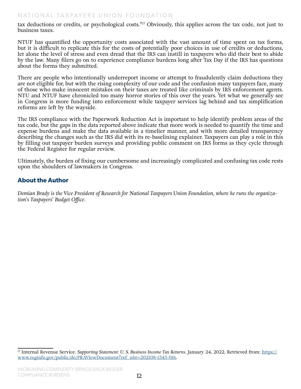tax deductions or credits, or psychological costs."17 Obviously, this applies across the tax code, not just to business taxes.

NTUF has quantified the opportunity costs associated with the vast amount of time spent on tax forms, but it is difficult to replicate this for the costs of potentially poor choices in use of credits or deductions, let alone the level of stress and even dread that the IRS can instill in taxpayers who did their best to abide by the law. Many filers go on to experience compliance burdens long after Tax Day if the IRS has questions about the forms they submitted.

There are people who intentionally underreport income or attempt to fraudulently claim deductions they are not eligible for, but with the rising complexity of our code and the confusion many taxpayers face, many of those who make innocent mistakes on their taxes are treated like criminals by IRS enforcement agents. NTU and NTUF have chronicled too many horror stories of this over the years. Yet what we generally see in Congress is more funding into enforcement while taxpayer services lag behind and tax simplification reforms are left by the wayside.

The IRS compliance with the Paperwork Reduction Act is important to help identify problem areas of the tax code, but the gaps in the data reported above indicate that more work is needed to quantify the time and expense burdens and make the data available in a timelier manner, and with more detailed transparency describing the changes such as the IRS did with its re-baselining explainer. Taxpayers can play a role in this by filling out taxpayer burden surveys and providing public comment on IRS forms as they cycle through the Federal Register for regular review.

Ultimately, the burden of fixing our cumbersome and increasingly complicated and confusing tax code rests upon the shoulders of lawmakers in Congress.

# **About the Author**

*Demian Brady is the Vice President of Research for National Taxpayers Union Foundation, where he runs the organization's Taxpayers' Budget Office.*

<sup>&</sup>lt;sup>17</sup> Internal Revenue Service. Supporting Statement: U.S. Business Income Tax Returns. January 24, 2022. Retrieved from: [https://](https://www.reginfo.gov/public/do/PRAViewDocument?ref_nbr=202108-1545-016) [www.reginfo.gov/public/do/PRAViewDocument?ref\\_nbr=202108-1545-016](https://www.reginfo.gov/public/do/PRAViewDocument?ref_nbr=202108-1545-016).